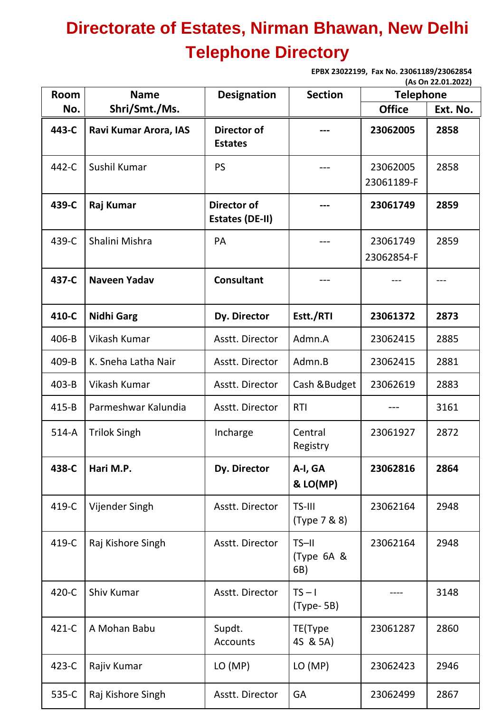## **Directorate of Estates, Nirman Bhawan, New Delhi Telephone Directory**

**EPBX 23022199, Fax No. 23061189/23062854 (As On 22.01.2022)**

| <b>Room</b> | <b>Name</b>           | <b>Designation</b>                           | <b>Section</b>                 | <b>Telephone</b>       | ן באטג.נט.בא ווט נאן |
|-------------|-----------------------|----------------------------------------------|--------------------------------|------------------------|----------------------|
| No.         | Shri/Smt./Ms.         |                                              |                                | <b>Office</b>          | Ext. No.             |
| 443-C       | Ravi Kumar Arora, IAS | Director of<br><b>Estates</b>                |                                | 23062005               | 2858                 |
| 442-C       | Sushil Kumar          | PS                                           |                                | 23062005<br>23061189-F | 2858                 |
| 439-C       | Raj Kumar             | <b>Director of</b><br><b>Estates (DE-II)</b> |                                | 23061749               | 2859                 |
| 439-C       | Shalini Mishra        | PA                                           |                                | 23061749<br>23062854-F | 2859                 |
| 437-C       | <b>Naveen Yadav</b>   | <b>Consultant</b>                            |                                |                        |                      |
| 410-C       | <b>Nidhi Garg</b>     | Dy. Director                                 | Estt./RTI                      | 23061372               | 2873                 |
| 406-B       | Vikash Kumar          | Asstt. Director                              | Admn.A                         | 23062415               | 2885                 |
| 409-B       | K. Sneha Latha Nair   | Asstt. Director                              | Admn.B                         | 23062415               | 2881                 |
| $403 - B$   | Vikash Kumar          | Asstt. Director                              | Cash & Budget                  | 23062619               | 2883                 |
| $415 - B$   | Parmeshwar Kalundia   | Asstt. Director                              | <b>RTI</b>                     |                        | 3161                 |
| $514-A$     | <b>Trilok Singh</b>   | Incharge                                     | Central<br>Registry            | 23061927               | 2872                 |
| 438-C       | Hari M.P.             | Dy. Director                                 | A-I, GA<br>& LO(MP)            | 23062816               | 2864                 |
| 419-C       | Vijender Singh        | Asstt. Director                              | TS-III<br>(Type 7 & 8)         | 23062164               | 2948                 |
| 419-C       | Raj Kishore Singh     | Asstt. Director                              | $TS - II$<br>(Type 6A &<br>6B) | 23062164               | 2948                 |
| 420-C       | Shiv Kumar            | Asstt. Director                              | $TS - I$<br>(Type- 5B)         |                        | 3148                 |
| 421-C       | A Mohan Babu          | Supdt.<br><b>Accounts</b>                    | TE(Type<br>4S & 5A)            | 23061287               | 2860                 |
| 423-C       | Rajiv Kumar           | LO(MP)                                       | LO (MP)                        | 23062423               | 2946                 |
| 535-C       | Raj Kishore Singh     | Asstt. Director                              | GA                             | 23062499               | 2867                 |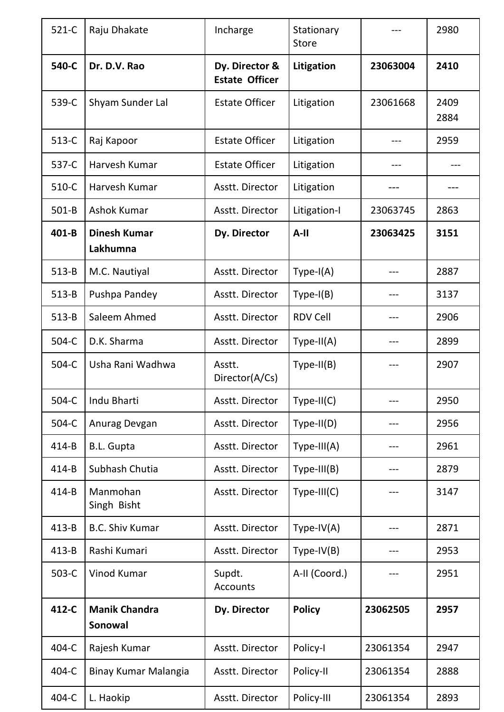| $521-C$   | Raju Dhakate                    | Incharge                                | Stationary<br><b>Store</b> |          | 2980         |
|-----------|---------------------------------|-----------------------------------------|----------------------------|----------|--------------|
| 540-C     | Dr. D.V. Rao                    | Dy. Director &<br><b>Estate Officer</b> | Litigation                 | 23063004 | 2410         |
| 539-C     | Shyam Sunder Lal                | <b>Estate Officer</b>                   | Litigation                 | 23061668 | 2409<br>2884 |
| 513-C     | Raj Kapoor                      | <b>Estate Officer</b>                   | Litigation                 | ---      | 2959         |
| 537-C     | Harvesh Kumar                   | <b>Estate Officer</b>                   | Litigation                 |          |              |
| 510-C     | Harvesh Kumar                   | Asstt. Director                         | Litigation                 |          |              |
| $501 - B$ | <b>Ashok Kumar</b>              | Asstt. Director                         | Litigation-I               | 23063745 | 2863         |
| $401 - B$ | <b>Dinesh Kumar</b><br>Lakhumna | Dy. Director                            | $A-II$                     | 23063425 | 3151         |
| $513 - B$ | M.C. Nautiyal                   | Asstt. Director                         | $Type-I(A)$                |          | 2887         |
| $513 - B$ | Pushpa Pandey                   | Asstt. Director                         | $Type-I(B)$                |          | 3137         |
| $513 - B$ | Saleem Ahmed                    | Asstt. Director                         | <b>RDV Cell</b>            |          | 2906         |
| 504-C     | D.K. Sharma                     | Asstt. Director                         | $Type-II(A)$               |          | 2899         |
| 504-C     | Usha Rani Wadhwa                | Asstt.<br>Director(A/Cs)                | $Type-II(B)$               |          | 2907         |
| 504-C     | Indu Bharti                     | Asstt. Director                         | Type-II(C)                 |          | 2950         |
| 504-C     | Anurag Devgan                   | Asstt. Director                         | $Type-II(D)$               |          | 2956         |
| $414 - B$ | <b>B.L. Gupta</b>               | Asstt. Director                         | $Type-III(A)$              |          | 2961         |
| 414-B     | Subhash Chutia                  | Asstt. Director                         | $Type-III(B)$              |          | 2879         |
| $414 - B$ | Manmohan<br>Singh Bisht         | Asstt. Director                         | $Type-III(C)$              |          | 3147         |
| $413 - B$ | <b>B.C. Shiv Kumar</b>          | Asstt. Director                         | $Type-IV(A)$               |          | 2871         |
| $413 - B$ | Rashi Kumari                    | Asstt. Director                         | $Type-IV(B)$               |          | 2953         |
| $503-C$   | Vinod Kumar                     | Supdt.<br><b>Accounts</b>               | A-II (Coord.)              |          | 2951         |
| 412-C     | <b>Manik Chandra</b><br>Sonowal | Dy. Director                            | <b>Policy</b>              | 23062505 | 2957         |
| 404-C     | Rajesh Kumar                    | Asstt. Director                         | Policy-I                   | 23061354 | 2947         |
| 404-C     | Binay Kumar Malangia            | Asstt. Director                         | Policy-II                  | 23061354 | 2888         |
| 404-C     | L. Haokip                       | Asstt. Director                         | Policy-III                 | 23061354 | 2893         |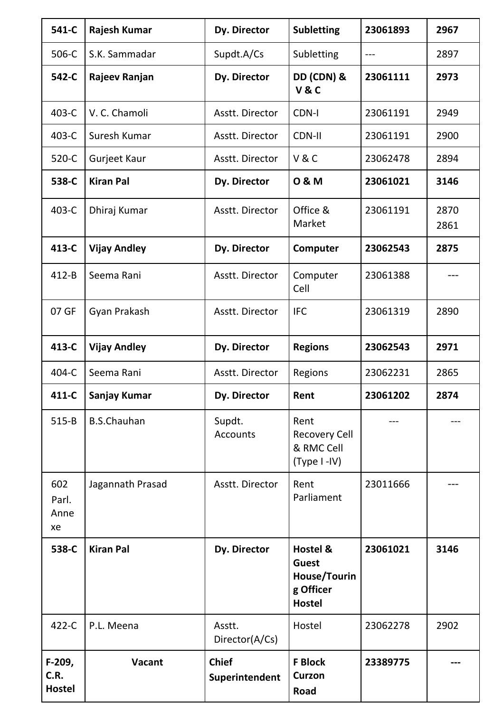| 541-C                           | Rajesh Kumar         | Dy. Director                   | <b>Subletting</b>                                                      | 23061893 | 2967         |
|---------------------------------|----------------------|--------------------------------|------------------------------------------------------------------------|----------|--------------|
| 506-C                           | S.K. Sammadar        | Supdt.A/Cs                     | Subletting                                                             | $---$    | 2897         |
| 542-C                           | Rajeev Ranjan        | Dy. Director                   | DD (CDN) &<br><b>V&amp;C</b>                                           | 23061111 | 2973         |
| 403-C                           | V. C. Chamoli        | Asstt. Director                | <b>CDN-I</b>                                                           | 23061191 | 2949         |
| 403-C                           | Suresh Kumar         | Asstt. Director                | <b>CDN-II</b>                                                          | 23061191 | 2900         |
| 520-C                           | Gurjeet Kaur         | Asstt. Director                | V&C                                                                    | 23062478 | 2894         |
| 538-C                           | <b>Kiran Pal</b>     | Dy. Director                   | 0 & M                                                                  | 23061021 | 3146         |
| 403-C                           | Dhiraj Kumar         | Asstt. Director                | Office &<br>Market                                                     | 23061191 | 2870<br>2861 |
| 413-C                           | <b>Vijay Andley</b>  | Dy. Director                   | Computer                                                               | 23062543 | 2875         |
| $412 - B$                       | Seema Rani           | Asstt. Director                | Computer<br>Cell                                                       | 23061388 |              |
| 07 GF                           | Gyan Prakash         | Asstt. Director                | <b>IFC</b>                                                             | 23061319 | 2890         |
| 413-C                           | <b>Vijay Andley</b>  | Dy. Director                   | <b>Regions</b>                                                         | 23062543 | 2971         |
| 404-C                           | Seema Rani           | Asstt. Director                | Regions                                                                | 23062231 | 2865         |
|                                 | 411-C   Sanjay Kumar | Dy. Director                   | Rent                                                                   | 23061202 | 2874         |
| $515 - B$                       | <b>B.S.Chauhan</b>   | Supdt.<br><b>Accounts</b>      | Rent<br><b>Recovery Cell</b><br>& RMC Cell<br>(Type I-IV)              |          |              |
| 602<br>Parl.<br>Anne<br>xe      | Jagannath Prasad     | Asstt. Director                | Rent<br>Parliament                                                     | 23011666 |              |
| 538-C                           | <b>Kiran Pal</b>     | Dy. Director                   | Hostel &<br><b>Guest</b><br>House/Tourin<br>g Officer<br><b>Hostel</b> | 23061021 | 3146         |
| 422-C                           | P.L. Meena           | Asstt.<br>Director(A/Cs)       | Hostel                                                                 | 23062278 | 2902         |
| F-209,<br>C.R.<br><b>Hostel</b> | Vacant               | <b>Chief</b><br>Superintendent | <b>F</b> Block<br><b>Curzon</b><br>Road                                | 23389775 |              |